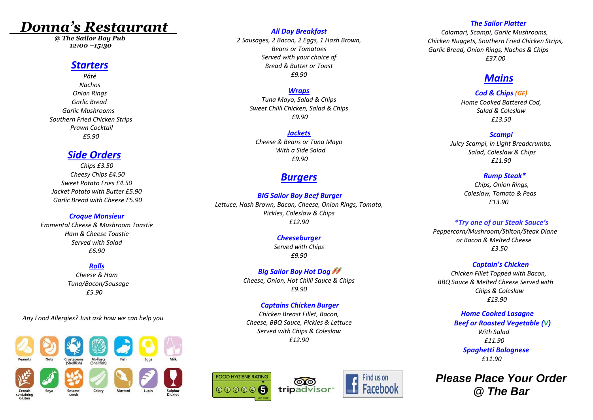# *Donna's Restaurant*

*@ The Sailor Boy Pub 12:00 –15:30*

# *Starters*

*Pâté Nachos Onion Rings Garlic Bread Garlic Mushrooms Southern Fried Chicken Strips Prawn Cocktail £5.90*

# *Side Orders*

*Chips £3.50 Cheesy Chips £4.50 Sweet Potato Fries £4.50 Jacket Potato with Butter £5.90 Garlic Bread with Cheese £5.90*

## *Croque Monsieur*

*Emmental Cheese & Mushroom Toastie Ham & Cheese Toastie Served with Salad £6.90*

# *Rolls*

*Cheese & Ham Tuna/Bacon/Sausage £5.90*

*Any Food Allergies? Just ask how we can help you* 



## *All Day Breakfast*

*2 Sausages, 2 Bacon, 2 Eggs, 1 Hash Brown, Beans or Tomatoes Served with your choice of Bread & Butter or Toast £9.90*

# *Wraps*

*Tuna Mayo, Salad & Chips Sweet Chilli Chicken, Salad & Chips £9.90*

## *Jackets*

*Cheese & Beans or Tuna Mayo With a Side Salad £9.90*

# *Burgers*

*BIG Sailor Boy Beef Burger Lettuce, Hash Brown, Bacon, Cheese, Onion Rings, Tomato, Pickles, Coleslaw & Chips £12.90*

#### *Cheeseburger Served with Chips*

*£9.90*

*Big Sailor Boy Hot Dog Cheese, Onion, Hot Chilli Sauce & Chips £9.90*

# *Captains Chicken Burger*

*Chicken Breast Fillet, Bacon, Cheese, BBQ Sauce, Pickles & Lettuce Served with Chips & Coleslaw £12.90*







#### *The Sailor Platter*

 *Calamari, Scampi, Garlic Mushrooms, Chicken Nuggets, Southern Fried Chicken Strips, Garlic Bread, Onion Rings, Nachos & Chips £37.00*

# *Mains*

# *Cod & Chips (GF)*

*Home Cooked Battered Cod, Salad & Coleslaw £13.50*

#### *Scampi*

*Juicy Scampi, in Light Breadcrumbs, Salad, Coleslaw & Chips £11.90*

#### *Rump Steak\**

 *Chips, Onion Rings, Coleslaw, Tomato & Peas £13.90*

## *\*Try one of our Steak Sauce's*

*Peppercorn/Mushroom/Stilton/Steak Diane or Bacon & Melted Cheese £3.50*

## *Captain's Chicken*

 *Chicken Fillet Topped with Bacon, BBQ Sauce & Melted Cheese Served with Chips & Coleslaw £13.90*

## *Home Cooked Lasagne Beef or Roasted Vegetable (V) With Salad £11.90 Spaghetti Bolognese £11.90*

*Please Place Your Order @ The Bar*